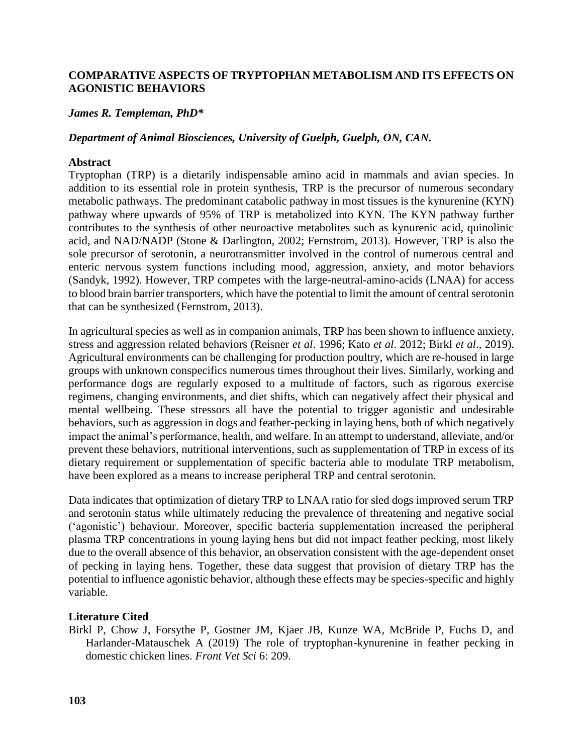# **COMPARATIVE ASPECTS OF TRYPTOPHAN METABOLISM AND ITS EFFECTS ON AGONISTIC BEHAVIORS**

### *James R. Templeman, PhD\**

# *Department of Animal Biosciences, University of Guelph, Guelph, ON, CAN.*

### **Abstract**

Tryptophan (TRP) is a dietarily indispensable amino acid in mammals and avian species. In addition to its essential role in protein synthesis, TRP is the precursor of numerous secondary metabolic pathways. The predominant catabolic pathway in most tissues is the kynurenine (KYN) pathway where upwards of 95% of TRP is metabolized into KYN. The KYN pathway further contributes to the synthesis of other neuroactive metabolites such as kynurenic acid, quinolinic acid, and NAD/NADP (Stone & Darlington, 2002; Fernstrom, 2013). However, TRP is also the sole precursor of serotonin, a neurotransmitter involved in the control of numerous central and enteric nervous system functions including mood, aggression, anxiety, and motor behaviors (Sandyk, 1992). However, TRP competes with the large-neutral-amino-acids (LNAA) for access to blood brain barrier transporters, which have the potential to limit the amount of central serotonin that can be synthesized (Fernstrom, 2013).

In agricultural species as well as in companion animals, TRP has been shown to influence anxiety, stress and aggression related behaviors (Reisner *et al*. 1996; Kato *et al*. 2012; Birkl *et al*., 2019). Agricultural environments can be challenging for production poultry, which are re-housed in large groups with unknown conspecifics numerous times throughout their lives. Similarly, working and performance dogs are regularly exposed to a multitude of factors, such as rigorous exercise regimens, changing environments, and diet shifts, which can negatively affect their physical and mental wellbeing. These stressors all have the potential to trigger agonistic and undesirable behaviors, such as aggression in dogs and feather-pecking in laying hens, both of which negatively impact the animal's performance, health, and welfare. In an attempt to understand, alleviate, and/or prevent these behaviors, nutritional interventions, such as supplementation of TRP in excess of its dietary requirement or supplementation of specific bacteria able to modulate TRP metabolism, have been explored as a means to increase peripheral TRP and central serotonin.

Data indicates that optimization of dietary TRP to LNAA ratio for sled dogs improved serum TRP and serotonin status while ultimately reducing the prevalence of threatening and negative social ('agonistic') behaviour. Moreover, specific bacteria supplementation increased the peripheral plasma TRP concentrations in young laying hens but did not impact feather pecking, most likely due to the overall absence of this behavior, an observation consistent with the age-dependent onset of pecking in laying hens. Together, these data suggest that provision of dietary TRP has the potential to influence agonistic behavior, although these effects may be species-specific and highly variable.

### **Literature Cited**

Birkl P, Chow J, Forsythe P, Gostner JM, Kjaer JB, Kunze WA, McBride P, Fuchs D, and Harlander-Matauschek A (2019) The role of tryptophan-kynurenine in feather pecking in domestic chicken lines. *Front Vet Sci* 6: 209.